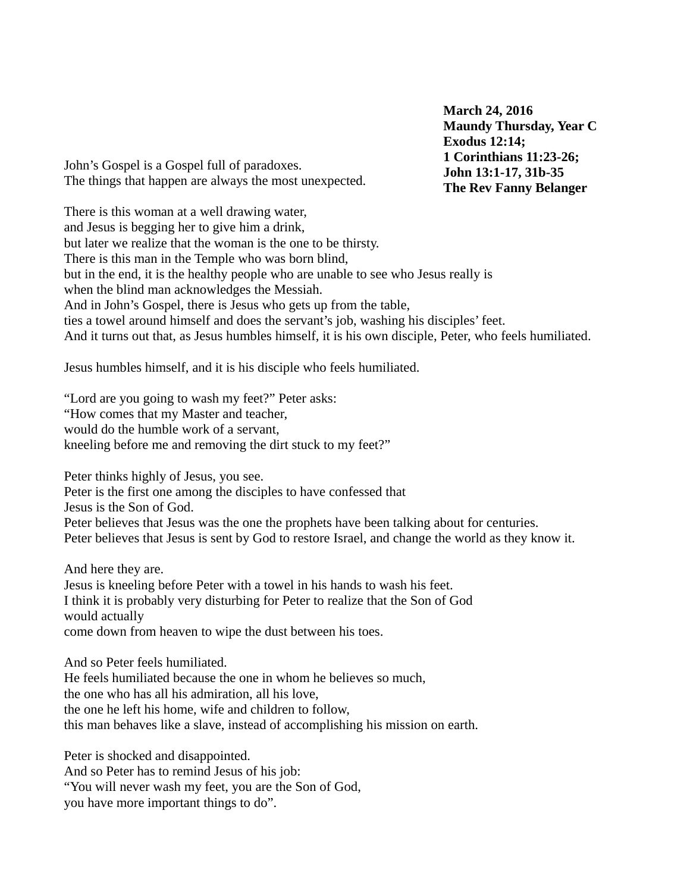**March 24, 2016 Maundy Thursday, Year C Exodus 12:14; 1 Corinthians 11:23-26; John 13:1-17, 31b-35 The Rev Fanny Belanger**

John's Gospel is a Gospel full of paradoxes. The things that happen are always the most unexpected.

There is this woman at a well drawing water, and Jesus is begging her to give him a drink, but later we realize that the woman is the one to be thirsty. There is this man in the Temple who was born blind, but in the end, it is the healthy people who are unable to see who Jesus really is when the blind man acknowledges the Messiah. And in John's Gospel, there is Jesus who gets up from the table, ties a towel around himself and does the servant's job, washing his disciples' feet. And it turns out that, as Jesus humbles himself, it is his own disciple, Peter, who feels humiliated.

Jesus humbles himself, and it is his disciple who feels humiliated.

"Lord are you going to wash my feet?" Peter asks: "How comes that my Master and teacher, would do the humble work of a servant, kneeling before me and removing the dirt stuck to my feet?"

Peter thinks highly of Jesus, you see.

Peter is the first one among the disciples to have confessed that

Jesus is the Son of God.

Peter believes that Jesus was the one the prophets have been talking about for centuries.

Peter believes that Jesus is sent by God to restore Israel, and change the world as they know it.

And here they are.

Jesus is kneeling before Peter with a towel in his hands to wash his feet. I think it is probably very disturbing for Peter to realize that the Son of God would actually come down from heaven to wipe the dust between his toes.

And so Peter feels humiliated. He feels humiliated because the one in whom he believes so much, the one who has all his admiration, all his love,

the one he left his home, wife and children to follow,

this man behaves like a slave, instead of accomplishing his mission on earth.

Peter is shocked and disappointed. And so Peter has to remind Jesus of his job: "You will never wash my feet, you are the Son of God, you have more important things to do".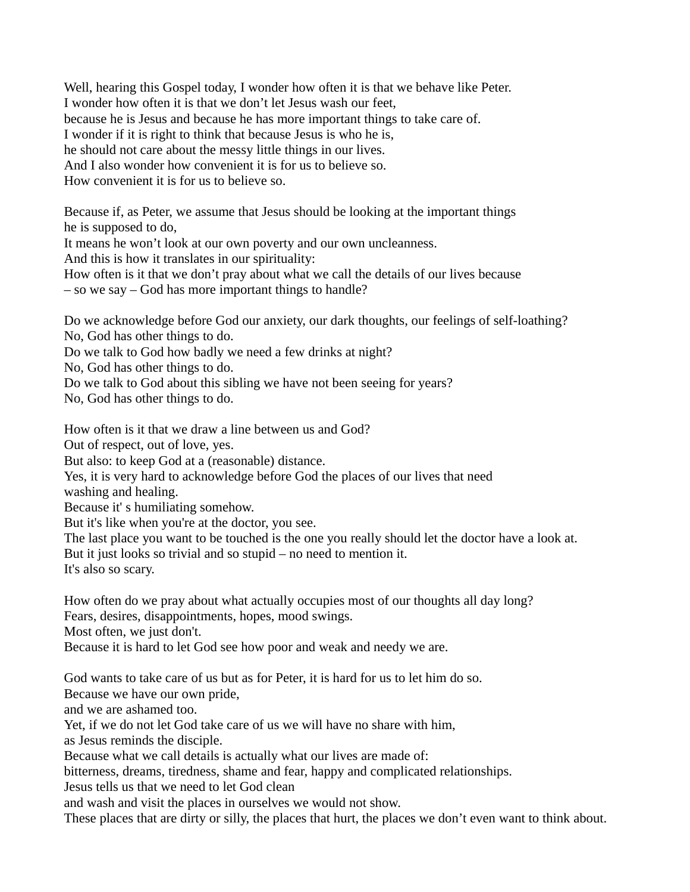Well, hearing this Gospel today, I wonder how often it is that we behave like Peter. I wonder how often it is that we don't let Jesus wash our feet, because he is Jesus and because he has more important things to take care of. I wonder if it is right to think that because Jesus is who he is, he should not care about the messy little things in our lives. And I also wonder how convenient it is for us to believe so. How convenient it is for us to believe so.

Because if, as Peter, we assume that Jesus should be looking at the important things he is supposed to do,

It means he won't look at our own poverty and our own uncleanness.

And this is how it translates in our spirituality:

How often is it that we don't pray about what we call the details of our lives because

– so we say – God has more important things to handle?

Do we acknowledge before God our anxiety, our dark thoughts, our feelings of self-loathing? No, God has other things to do.

Do we talk to God how badly we need a few drinks at night?

No, God has other things to do.

Do we talk to God about this sibling we have not been seeing for years?

No, God has other things to do.

How often is it that we draw a line between us and God?

Out of respect, out of love, yes.

But also: to keep God at a (reasonable) distance.

Yes, it is very hard to acknowledge before God the places of our lives that need

washing and healing.

Because it' s humiliating somehow.

But it's like when you're at the doctor, you see.

The last place you want to be touched is the one you really should let the doctor have a look at. But it just looks so trivial and so stupid – no need to mention it.

It's also so scary.

How often do we pray about what actually occupies most of our thoughts all day long?

Fears, desires, disappointments, hopes, mood swings.

Most often, we just don't.

Because it is hard to let God see how poor and weak and needy we are.

God wants to take care of us but as for Peter, it is hard for us to let him do so.

Because we have our own pride,

and we are ashamed too.

Yet, if we do not let God take care of us we will have no share with him,

as Jesus reminds the disciple.

Because what we call details is actually what our lives are made of:

bitterness, dreams, tiredness, shame and fear, happy and complicated relationships.

Jesus tells us that we need to let God clean

and wash and visit the places in ourselves we would not show.

These places that are dirty or silly, the places that hurt, the places we don't even want to think about.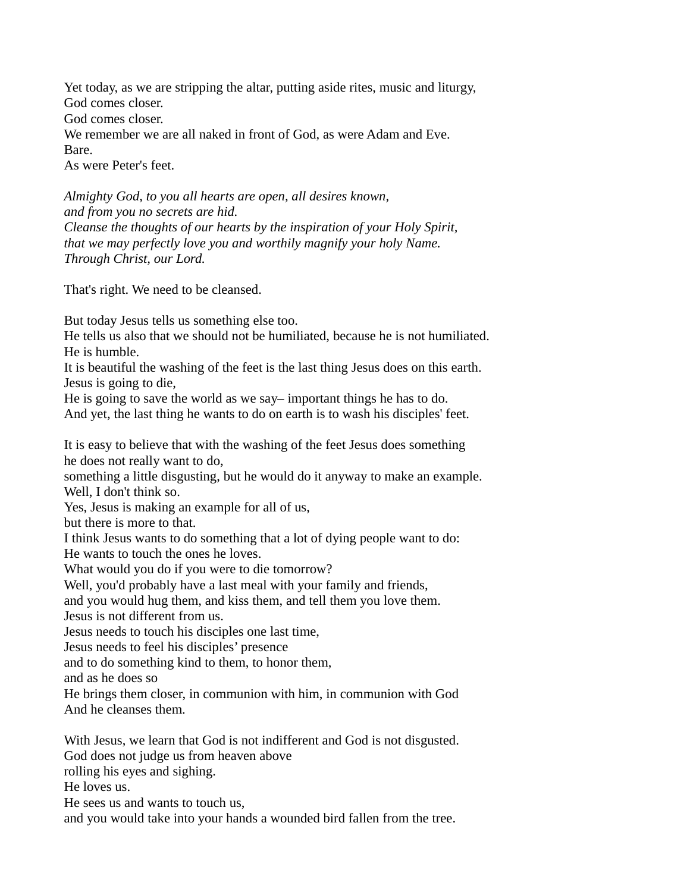Yet today, as we are stripping the altar, putting aside rites, music and liturgy, God comes closer.

God comes closer.

We remember we are all naked in front of God, as were Adam and Eve.

Bare.

As were Peter's feet.

*Almighty God, to you all hearts are open, all desires known, and from you no secrets are hid. Cleanse the thoughts of our hearts by the inspiration of your Holy Spirit, that we may perfectly love you and worthily magnify your holy Name. Through Christ, our Lord.*

That's right. We need to be cleansed.

But today Jesus tells us something else too.

He tells us also that we should not be humiliated, because he is not humiliated. He is humble.

It is beautiful the washing of the feet is the last thing Jesus does on this earth. Jesus is going to die,

He is going to save the world as we say– important things he has to do.

And yet, the last thing he wants to do on earth is to wash his disciples' feet.

It is easy to believe that with the washing of the feet Jesus does something he does not really want to do,

something a little disgusting, but he would do it anyway to make an example. Well, I don't think so.

Yes, Jesus is making an example for all of us,

but there is more to that.

I think Jesus wants to do something that a lot of dying people want to do:

He wants to touch the ones he loves.

What would you do if you were to die tomorrow?

Well, you'd probably have a last meal with your family and friends,

and you would hug them, and kiss them, and tell them you love them.

Jesus is not different from us.

Jesus needs to touch his disciples one last time,

Jesus needs to feel his disciples' presence

and to do something kind to them, to honor them,

and as he does so

He brings them closer, in communion with him, in communion with God And he cleanses them.

With Jesus, we learn that God is not indifferent and God is not disgusted. God does not judge us from heaven above rolling his eyes and sighing. He loves us. He sees us and wants to touch us,

and you would take into your hands a wounded bird fallen from the tree.